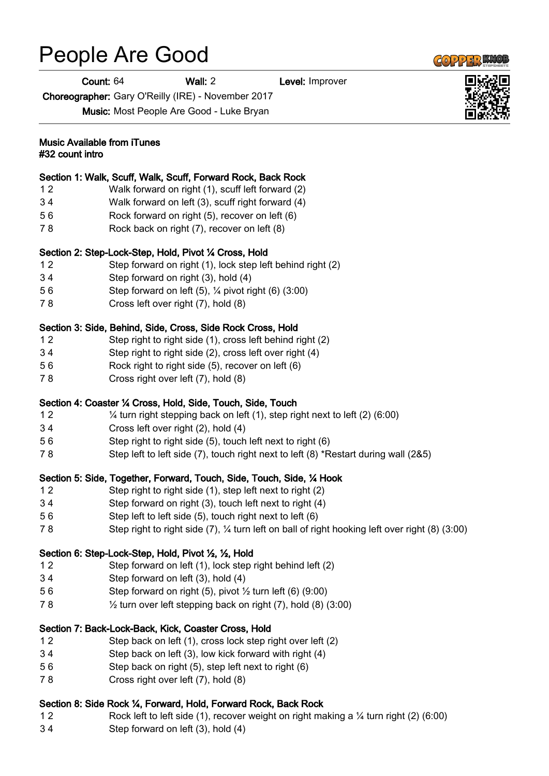# People Are Good

Count: 64 Wall: 2 Level: Improver

Choreographer: Gary O'Reilly (IRE) - November 2017

Music: Most People Are Good - Luke Bryan

#### Music Available from iTunes #32 count intro

#### Section 1: Walk, Scuff, Walk, Scuff, Forward Rock, Back Rock

- 1 2 Walk forward on right (1), scuff left forward (2)
- 3 4 Walk forward on left (3), scuff right forward (4)
- 5 6 Rock forward on right (5), recover on left (6)
- 7 8 Rock back on right (7), recover on left (8)

#### Section 2: Step-Lock-Step, Hold, Pivot ¼ Cross, Hold

- 1 2 Step forward on right (1), lock step left behind right (2)
- 3 4 Step forward on right (3), hold (4)
- 5 6 Step forward on left (5), ¼ pivot right (6) (3:00)
- 7 8 Cross left over right (7), hold (8)

#### Section 3: Side, Behind, Side, Cross, Side Rock Cross, Hold

- 1 2 Step right to right side (1), cross left behind right (2)
- 3 4 Step right to right side (2), cross left over right (4)
- 5 6 Rock right to right side (5), recover on left (6)
- 7 8 Cross right over left (7), hold (8)

#### Section 4: Coaster ¼ Cross, Hold, Side, Touch, Side, Touch

- 1 2 ¼ turn right stepping back on left (1), step right next to left (2) (6:00)
- 3 4 Cross left over right (2), hold (4)
- 5 6 Step right to right side (5), touch left next to right (6)
- 7 8 Step left to left side (7), touch right next to left (8) \*Restart during wall (2&5)

#### Section 5: Side, Together, Forward, Touch, Side, Touch, Side, ¼ Hook

- 1 2 Step right to right side (1), step left next to right (2)
- 3 4 Step forward on right (3), touch left next to right (4)
- 5 6 Step left to left side (5), touch right next to left (6)
- 7 8 Step right to right side (7), ¼ turn left on ball of right hooking left over right (8) (3:00)

### Section 6: Step-Lock-Step, Hold, Pivot ½, ½, Hold

- 1 2 Step forward on left (1), lock step right behind left (2)
- 3 4 Step forward on left (3), hold (4)
- 5 6 Step forward on right  $(5)$ , pivot  $\frac{1}{2}$  turn left  $(6)$   $(9:00)$
- 7 8 ½ turn over left stepping back on right (7), hold (8) (3:00)

#### Section 7: Back-Lock-Back, Kick, Coaster Cross, Hold

- 1 2 Step back on left (1), cross lock step right over left (2)
- 3 4 Step back on left (3), low kick forward with right (4)
- 5 6 Step back on right (5), step left next to right (6)
- 7 8 Cross right over left (7), hold (8)

#### Section 8: Side Rock ¼, Forward, Hold, Forward Rock, Back Rock

- 1 2 Rock left to left side (1), recover weight on right making a ¼ turn right (2) (6:00)
- 3 4 Step forward on left (3), hold (4)